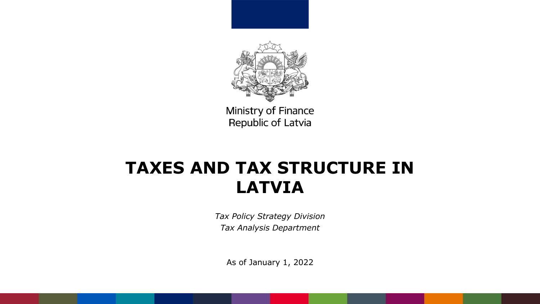

# **TAXES AND TAX STRUCTURE IN LATVIA**

*Tax Policy Strategy Division Tax Analysis Department*

As of January 1, 2022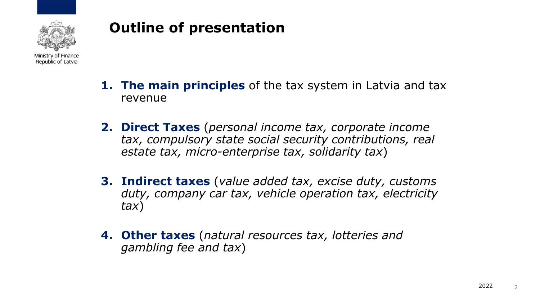

## **Outline of presentation**

- **1. The main principles** of the tax system in Latvia and tax revenue
- **2. Direct Taxes** (*personal income tax, corporate income tax, compulsory state social security contributions, real estate tax, micro-enterprise tax, solidarity tax*)
- **3. Indirect taxes** (*value added tax, excise duty, customs duty, company car tax, vehicle operation tax, electricity tax*)
- **4. Other taxes** (*natural resources tax, lotteries and gambling fee and tax*)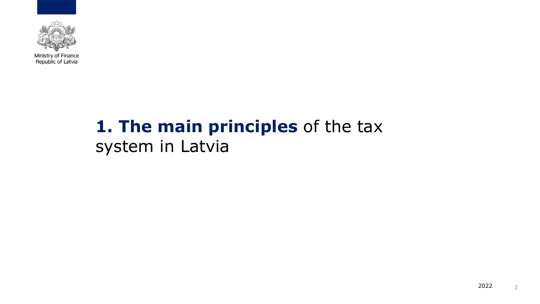

# **1. The main principles** of the tax system in Latvia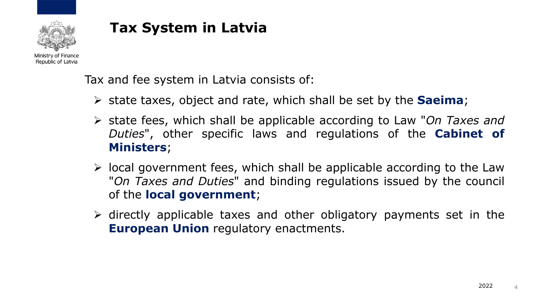

## **Tax System in Latvia**

Tax and fee system in Latvia consists of:

- ➢ state taxes, object and rate, which shall be set by the **Saeima**;
- ➢ state fees, which shall be applicable according to Law "*On Taxes and Duties*" , other specific laws and regulations of the **Cabinet of Ministers**;
- $\triangleright$  local government fees, which shall be applicable according to the Law "*On Taxes and Duties*" and binding regulations issued by the council of the **local government**;
- ➢ directly applicable taxes and other obligatory payments set in the **European Union** regulatory enactments.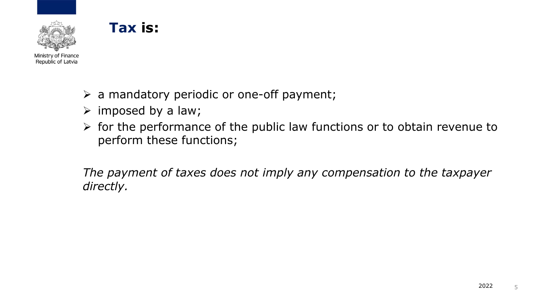## **Tax is:**



- $\triangleright$  a mandatory periodic or one-off payment;
- $\triangleright$  imposed by a law;
- ➢ for the performance of the public law functions or to obtain revenue to perform these functions;

*The payment of taxes does not imply any compensation to the taxpayer directly.*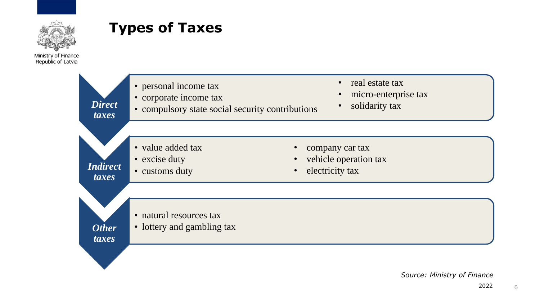

## **Types of Taxes**

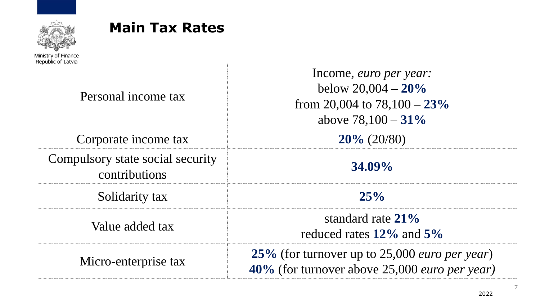

#### **Main Tax Rates**

Personal income tax

Corporate income tax **20%** (20/80)

Compulsory state social security contributions **34.09%** 

Income, *euro per year:* below 20,004 – **20%** from 20,004 to 78,100 – **23%** above 78,100 – **31%** Solidarity tax **25%** Value added tax standard rate 21% reduced rates **12%** and **5%**  Micro-enterprise tax **25%** (for turnover up to 25,000 *euro per year*) **40%** (for turnover above 25,000 *euro per year)*

7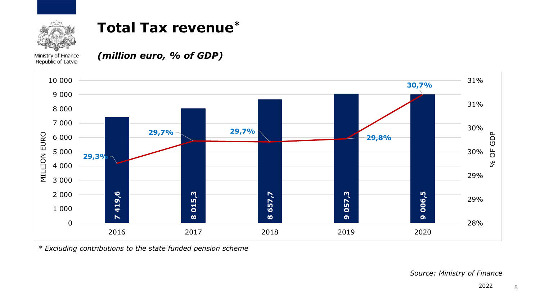

## **Total Tax revenue\***

Ministry of Finance Republic of Latvia

*(million euro, % of GDP)*



*\* Excluding contributions to the state funded pension scheme*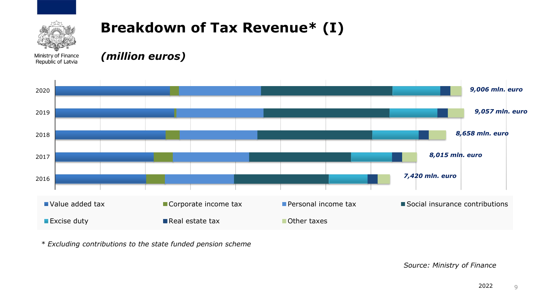

## **Breakdown of Tax Revenue\* (I)**

Ministry of Finance Republic of Latvia

*(million euros)*



*\* Excluding contributions to the state funded pension scheme*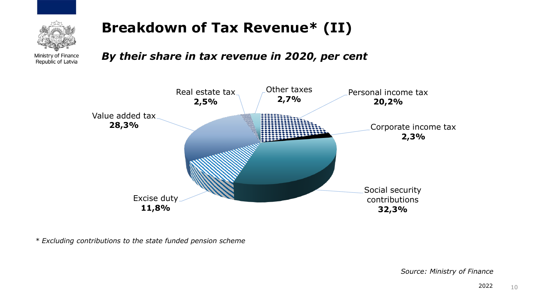

## **Breakdown of Tax Revenue\* (II)**

*By their share in tax revenue in 2020, per cent*



*\* Excluding contributions to the state funded pension scheme*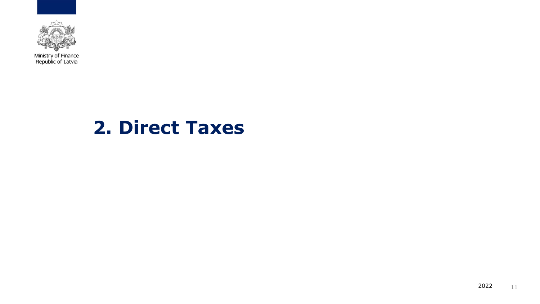

# **2. Direct Taxes**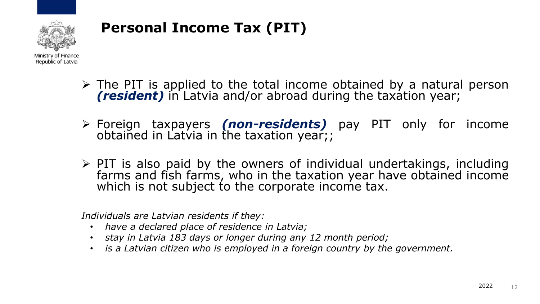

- Ministry of Finance Republic of Latvia
	- ➢ The PIT is applied to the total income obtained by a natural person *(resident)* in Latvia and/or abroad during the taxation year;
	- ➢ Foreign taxpayers *(non-residents)* pay PIT only for income obtained in Latvia in the taxation year;;
	- $\triangleright$  PIT is also paid by the owners of individual undertakings, including farms and fish farms, who in the taxation year have obtained income which is not subject to the corporate income tax.

*Individuals are Latvian residents if they:* 

- *have a declared place of residence in Latvia;*
- *stay in Latvia 183 days or longer during any 12 month period;*
- *is a Latvian citizen who is employed in a foreign country by the government.*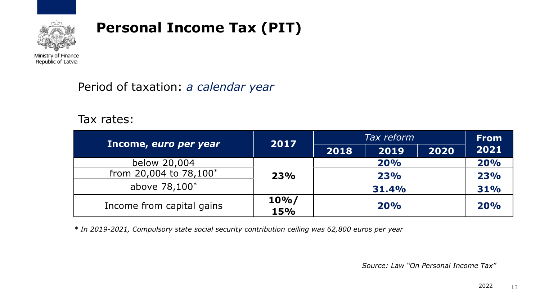

Ministry of Finance Republic of Latvia

#### Period of taxation: *a calendar year*

#### Tax rates:

|                           | 2017       | Tax reform |       | <b>From</b> |      |
|---------------------------|------------|------------|-------|-------------|------|
| Income, euro per year     |            | 2018       | 2019  | 2020        | 2021 |
| below 20,004              |            |            | 20%   |             | 20%  |
| from 20,004 to 78,100*    | 23%        |            | 23%   |             | 23%  |
| above 78,100*             |            |            | 31.4% |             | 31%  |
|                           | $10\%$     | 20%        |       | 20%         |      |
| Income from capital gains | <b>15%</b> |            |       |             |      |

*\* In 2019-2021, Compulsory state social security contribution ceiling was 62,800 euros per year* 

*Source: Law "On Personal Income Tax"*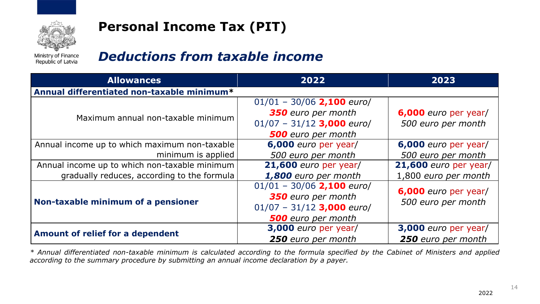

Ministry of Finance Republic of Latvia

#### *Deductions from taxable income*

| <b>Allowances</b>                             | 2022                        | 2023                  |
|-----------------------------------------------|-----------------------------|-----------------------|
| Annual differentiated non-taxable minimum*    |                             |                       |
|                                               | $01/01 - 30/06$ 2,100 euro/ |                       |
| Maximum annual non-taxable minimum            | 350 euro per month          | 6,000 euro per year/  |
|                                               | $01/07 - 31/12$ 3,000 euro/ | 500 euro per month    |
|                                               | <b>500</b> euro per month   |                       |
| Annual income up to which maximum non-taxable | 6,000 euro per year/        | 6,000 euro per year/  |
| minimum is applied                            | 500 euro per month          | 500 euro per month    |
| Annual income up to which non-taxable minimum | 21,600 euro per year/       | 21,600 euro per year/ |
| gradually reduces, according to the formula   | 1,800 euro per month        | 1,800 euro per month  |
|                                               | $01/01 - 30/06$ 2,100 euro/ | 6,000 euro per year/  |
| Non-taxable minimum of a pensioner            | 350 euro per month          |                       |
|                                               | $01/07 - 31/12$ 3,000 euro/ | 500 euro per month    |
|                                               | <b>500</b> euro per month   |                       |
| Amount of relief for a dependent              | 3,000 euro per year/        | 3,000 euro per year/  |
|                                               | 250 euro per month          | 250 euro per month    |

\* Annual differentiated non-taxable minimum is calculated according to the formula specified by the Cabinet of Ministers and applied *according to the summary procedure by submitting an annual income declaration by a payer.*

14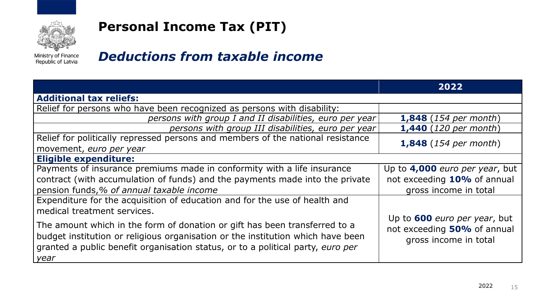

Ministry of Finance Republic of Latvia

#### *Deductions from taxable income*

|                                                                                                                                                                                                                                                            | 2022                                                                                        |
|------------------------------------------------------------------------------------------------------------------------------------------------------------------------------------------------------------------------------------------------------------|---------------------------------------------------------------------------------------------|
| <b>Additional tax reliefs:</b>                                                                                                                                                                                                                             |                                                                                             |
| Relief for persons who have been recognized as persons with disability:                                                                                                                                                                                    |                                                                                             |
| persons with group I and II disabilities, euro per year                                                                                                                                                                                                    | <b>1,848</b> (154 per month)                                                                |
| persons with group III disabilities, euro per year                                                                                                                                                                                                         | <b>1,440</b> (120 per month)                                                                |
| Relief for politically repressed persons and members of the national resistance                                                                                                                                                                            | <b>1,848</b> (154 per month)                                                                |
| movement, euro per year                                                                                                                                                                                                                                    |                                                                                             |
| <b>Eligible expenditure:</b>                                                                                                                                                                                                                               |                                                                                             |
| Payments of insurance premiums made in conformity with a life insurance                                                                                                                                                                                    | Up to 4,000 euro per year, but                                                              |
| contract (with accumulation of funds) and the payments made into the private                                                                                                                                                                               | not exceeding 10% of annual                                                                 |
| pension funds,% of annual taxable income                                                                                                                                                                                                                   | gross income in total                                                                       |
| Expenditure for the acquisition of education and for the use of health and                                                                                                                                                                                 |                                                                                             |
| medical treatment services.                                                                                                                                                                                                                                |                                                                                             |
| The amount which in the form of donation or gift has been transferred to a<br>budget institution or religious organisation or the institution which have been<br>granted a public benefit organisation status, or to a political party, euro per<br>  year | Up to <b>600</b> euro per year, but<br>not exceeding 50% of annual<br>gross income in total |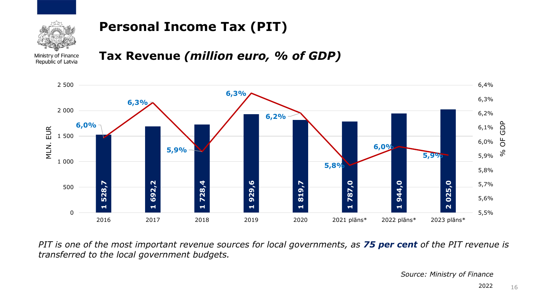

Ministry of Finance Republic of Latvia

#### **Tax Revenue** *(million euro, % of GDP)*



PIT is one of the most important revenue sources for local governments, as 75 per cent of the PIT revenue is *transferred to the local government budgets.*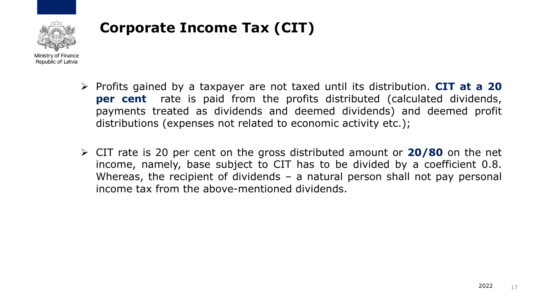

## **Corporate Income Tax (CIT)**

- ➢ Profits gained by a taxpayer are not taxed until its distribution. **CIT at a 20 per cent** rate is paid from the profits distributed (calculated dividends, payments treated as dividends and deemed dividends) and deemed profit distributions (expenses not related to economic activity etc.);
- ➢ CIT rate is 20 per cent on the gross distributed amount or **20/80** on the net income, namely, base subject to CIT has to be divided by a coefficient 0.8. Whereas, the recipient of dividends – a natural person shall not pay personal income tax from the above-mentioned dividends.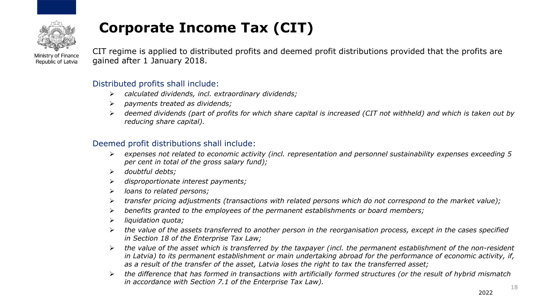

# **Corporate Income Tax (CIT)**

Ministry of Finance Republic of Latvia

CIT regime is applied to distributed profits and deemed profit distributions provided that the profits are gained after 1 January 2018.

#### Distributed profits shall include:

- ➢ *calculated dividends, incl. extraordinary dividends;*
- ➢ *payments treated as dividends;*
- ➢ *deemed dividends (part of profits for which share capital is increased (CIT not withheld) and which is taken out by reducing share capital).*

#### Deemed profit distributions shall include:

- ➢ *expenses not related to economic activity (incl. representation and personnel sustainability expenses exceeding 5 per cent in total of the gross salary fund);*
- ➢ *doubtful debts;*
- ➢ *disproportionate interest payments;*
- ➢ *loans to related persons;*
- ➢ *transfer pricing adjustments (transactions with related persons which do not correspond to the market value);*
- ➢ *benefits granted to the employees of the permanent establishments or board members;*
- ➢ *liquidation quota;*
- ➢ *the value of the assets transferred to another person in the reorganisation process, except in the cases specified in Section 18 of the Enterprise Tax Law;*
- ➢ *the value of the asset which is transferred by the taxpayer (incl. the permanent establishment of the non-resident in Latvia) to its permanent establishment or main undertaking abroad for the performance of economic activity, if, as a result of the transfer of the asset, Latvia loses the right to tax the transferred asset;*
- ➢ *the difference that has formed in transactions with artificially formed structures (or the result of hybrid mismatch in accordance with Section 7.1 of the Enterprise Tax Law).* 18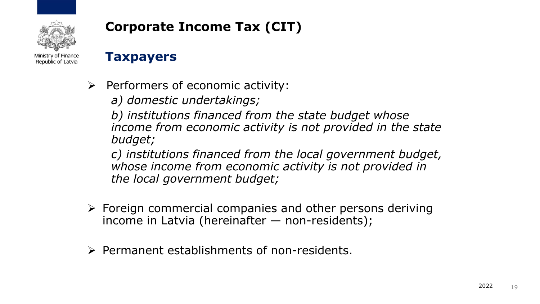

### **Corporate Income Tax (CIT)**

#### **Taxpayers**

➢ Performers of economic activity:

*a) domestic undertakings;*

*b) institutions financed from the state budget whose income from economic activity is not provided in the state budget;*

*c) institutions financed from the local government budget, whose income from economic activity is not provided in the local government budget;*

- $\triangleright$  Foreign commercial companies and other persons deriving income in Latvia (hereinafter — non-residents);
- ➢ Permanent establishments of non-residents.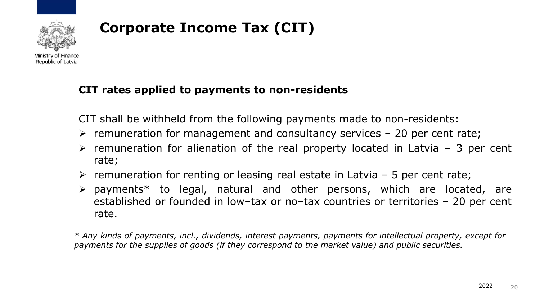

## **Corporate Income Tax (CIT)**

#### **CIT rates applied to payments to non-residents**

CIT shall be withheld from the following payments made to non-residents:

- $\triangleright$  remuneration for management and consultancy services 20 per cent rate;
- $\triangleright$  remuneration for alienation of the real property located in Latvia 3 per cent rate;
- $\triangleright$  remuneration for renting or leasing real estate in Latvia 5 per cent rate;
- ➢ payments\* to legal, natural and other persons, which are located, are established or founded in low–tax or no–tax countries or territories – 20 per cent rate.

*\* Any kinds of payments, incl., dividends, interest payments, payments for intellectual property, except for payments for the supplies of goods (if they correspond to the market value) and public securities.*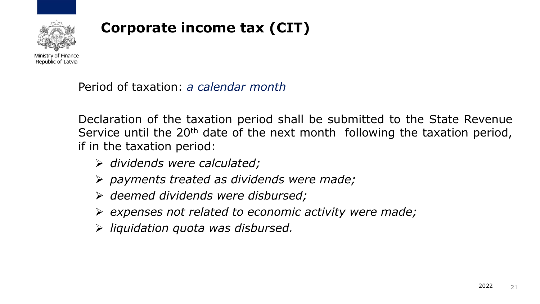

## **Corporate income tax (CIT)**

Period of taxation: *a calendar month*

Declaration of the taxation period shall be submitted to the State Revenue Service until the 20<sup>th</sup> date of the next month following the taxation period, if in the taxation period:

- ➢ *dividends were calculated;*
- ➢ *payments treated as dividends were made;*
- ➢ *deemed dividends were disbursed;*
- ➢ *expenses not related to economic activity were made;*
- ➢ *liquidation quota was disbursed.*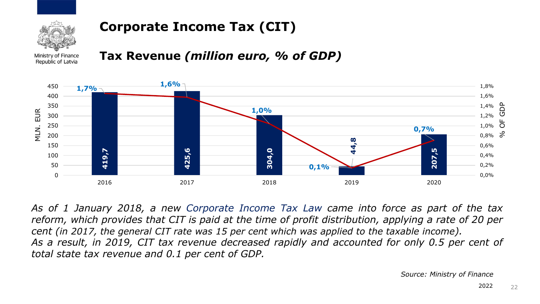

### **Corporate Income Tax (CIT)**

Ministry of Finance Republic of Latvia

#### **Tax Revenue** *(million euro, % of GDP)*



*As of 1 January 2018, a new Corporate Income Tax Law came into force as part of the tax* reform, which provides that CIT is paid at the time of profit distribution, applying a rate of 20 per cent (in 2017, the general CIT rate was 15 per cent which was applied to the taxable income). *As a result, in 2019, CIT tax revenue decreased rapidly and accounted for only 0.5 per cent of total state tax revenue and 0.1 per cent of GDP.*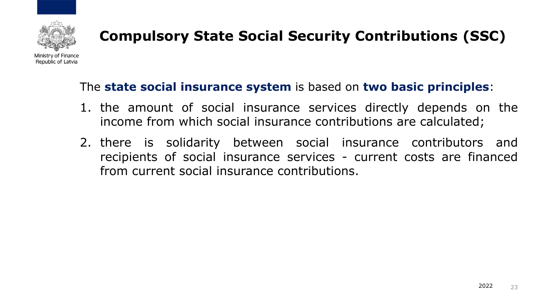

#### The **state social insurance system** is based on **two basic principles**:

- 1. the amount of social insurance services directly depends on the income from which social insurance contributions are calculated;
- 2. there is solidarity between social insurance contributors and recipients of social insurance services - current costs are financed from current social insurance contributions.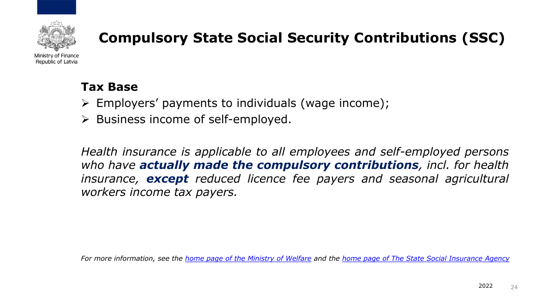

Ministry of Finance Republic of Latvia

#### **Tax Base**

- ➢ Employers' payments to individuals (wage income);
- ➢ Business income of self-employed.

*Health insurance is applicable to all employees and self-employed persons who have actually made the compulsory contributions, incl. for health insurance, except reduced licence fee payers and seasonal agricultural workers income tax payers.*

*For more information, see the [home page of the Ministry of Welfare](http://www.lm.gov.lv/text/875) and the [home page of The State Social Insurance Agency](https://www.vsaa.gov.lv/en/services/for-employees/contributions/)*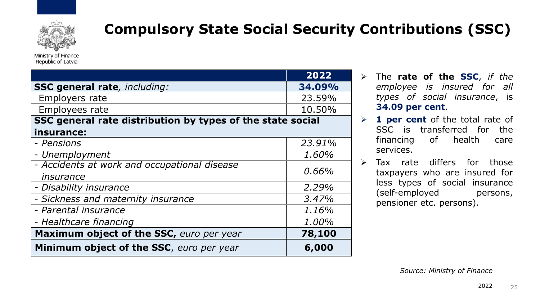

Ministry of Finance Republic of Latvia

|                                                            | 2022   |
|------------------------------------------------------------|--------|
| <b>SSC general rate</b> , including:                       | 34.09% |
| Employers rate                                             | 23.59% |
| Employees rate                                             | 10.50% |
| SSC general rate distribution by types of the state social |        |
| insurance:                                                 |        |
| - Pensions                                                 | 23.91% |
| - Unemployment                                             | 1.60%  |
| - Accidents at work and occupational disease               | 0.66%  |
| insurance                                                  |        |
| - Disability insurance                                     | 2.29%  |
| - Sickness and maternity insurance                         | 3.47%  |
| - Parental insurance                                       | 1.16%  |
| - Healthcare financing                                     | 1.00%  |
| Maximum object of the SSC, euro per year                   | 78,100 |
| Minimum object of the SSC, euro per year                   | 6,000  |

- ➢ The **rate of the SSC**, *if the employee is insured for all types of social insurance*, is **34.09 per cent**.
- ➢ **1 per cent** of the total rate of SSC is transferred for the financing of health care services.
- ➢ Tax rate differs for those taxpayers who are insured for less types of social insurance (self-employed persons, pensioner etc. persons).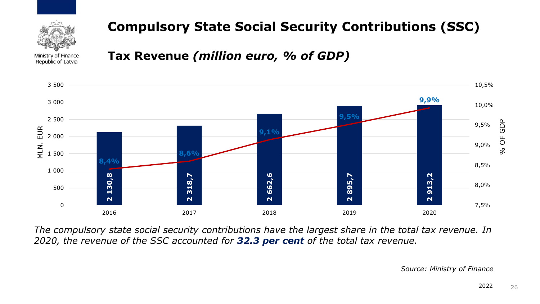

Ministry of Finance Republic of Latvia

#### **Tax Revenue** *(million euro, % of GDP)*



*The compulsory state social security contributions have the largest share in the total tax revenue. In 2020, the revenue of the SSC accounted for 32.3 per cent of the total tax revenue.*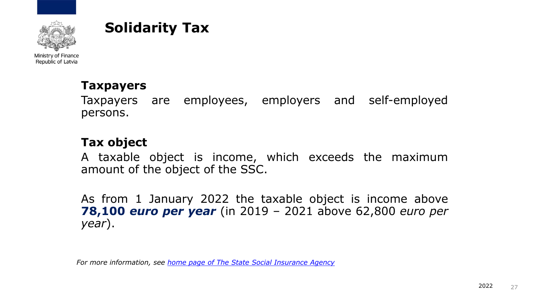

#### **Solidarity Tax**

Ministry of Finance Republic of Latvia

#### **Taxpayers**

Taxpayers are employees, employers and self-employed persons.

#### **Tax object**

A taxable object is income, which exceeds the maximum amount of the object of the SSC.

As from 1 January 2022 the taxable object is income above **78,100** *euro per year* (in 2019 – 2021 above 62,800 *euro per year*).

*For more information, see [home page of The State Social Insurance Agency](https://www.vsaa.gov.lv/en/services/for-employees/contributions/)*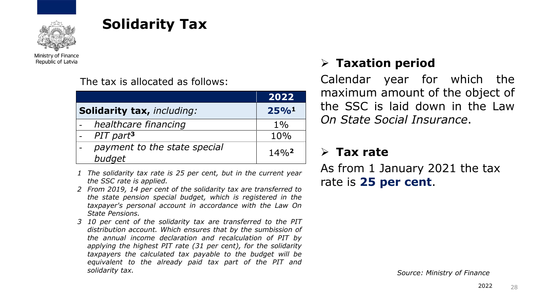

## **Solidarity Tax**

Ministry of Finance Republic of Latvia

The tax is allocated as follows:

|                                        | 2022                |
|----------------------------------------|---------------------|
| <b>Solidarity tax, including:</b>      | 25% <sup>1</sup>    |
| healthcare financing                   | $1\%$               |
| PIT part <sup>3</sup>                  | 10%                 |
| payment to the state special<br>budget | $14\%$ <sup>2</sup> |

- *1 The solidarity tax rate is 25 per cent, but in the current year the SSC rate is applied.*
- *2 From 2019, 14 per cent of the solidarity tax are transferred to the state pension special budget, which is registered in the taxpayer's personal account in accordance with the Law On State Pensions.*
- *3 10 per cent of the solidarity tax are transferred to the PIT distribution account. Which ensures that by the sumbission of the annual income declaration and recalculation of PIT by applying the highest PIT rate (31 per cent), for the solidarity taxpayers the calculated tax payable to the budget will be equivalent to the already paid tax part of the PIT and solidarity tax. Source: Ministry of Finance*

#### ➢ **Taxation period**

Calendar year for which the maximum amount of the object of the SSC is laid down in the Law *On State Social Insurance*.

#### ➢ **Tax rate**

As from 1 January 2021 the tax rate is **25 per cent**.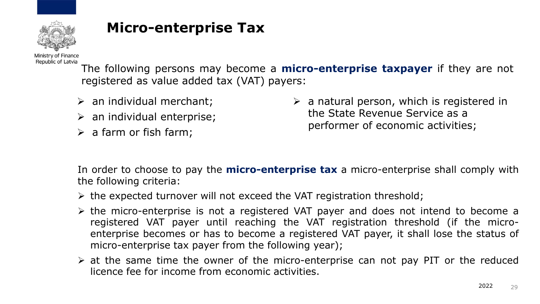

## **Micro-enterprise Tax**

Ministry of Finance Republic of Latvia

The following persons may become a **micro-enterprise taxpayer** if they are not registered as value added tax (VAT) payers:

- $\triangleright$  an individual merchant;
- $\triangleright$  an individual enterprise;
- $\triangleright$  a farm or fish farm;

 $\triangleright$  a natural person, which is registered in the State Revenue Service as a performer of economic activities;

In order to choose to pay the **micro-enterprise tax** a micro-enterprise shall comply with the following criteria:

- $\triangleright$  the expected turnover will not exceed the VAT registration threshold;
- ➢ the micro-enterprise is not a registered VAT payer and does not intend to become a registered VAT payer until reaching the VAT registration threshold (if the microenterprise becomes or has to become a registered VAT payer, it shall lose the status of micro-enterprise tax payer from the following year);
- $\triangleright$  at the same time the owner of the micro-enterprise can not pay PIT or the reduced licence fee for income from economic activities.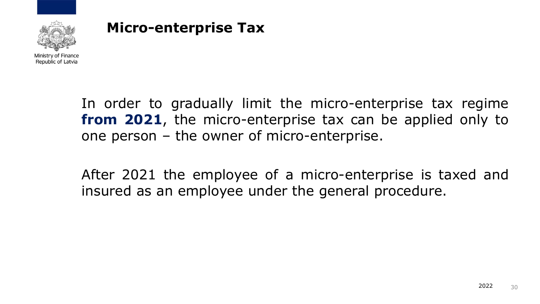

## **Micro-enterprise Tax**

In order to gradually limit the micro-enterprise tax regime **from 2021**, the micro-enterprise tax can be applied only to one person – the owner of micro-enterprise.

After 2021 the employee of a micro-enterprise is taxed and insured as an employee under the general procedure.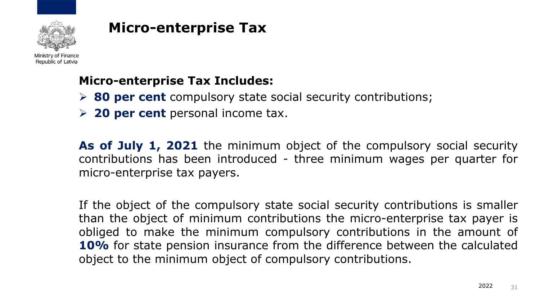

## **Micro-enterprise Tax**

#### **Micro-enterprise Tax Includes:**

- ➢ **80 per cent** compulsory state social security contributions;
- ➢ **20 per cent** personal income tax.

**As of July 1, 2021** the minimum object of the compulsory social security contributions has been introduced - three minimum wages per quarter for micro-enterprise tax payers.

If the object of the compulsory state social security contributions is smaller than the object of minimum contributions the micro-enterprise tax payer is obliged to make the minimum compulsory contributions in the amount of **10%** for state pension insurance from the difference between the calculated object to the minimum object of compulsory contributions.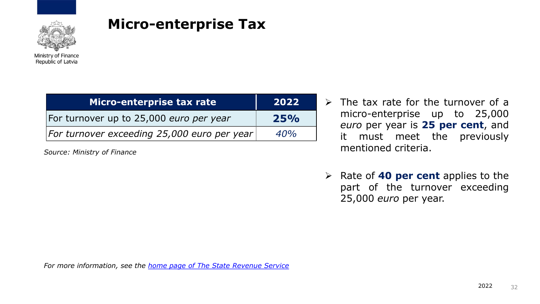

#### **Micro-enterprise Tax**

| Micro-enterprise tax rate                   | 2022 |
|---------------------------------------------|------|
| For turnover up to 25,000 euro per year     | 25%  |
| For turnover exceeding 25,000 euro per year | 40%  |

*Source: Ministry of Finance*

- $\triangleright$  The tax rate for the turnover of a micro-enterprise up to 25,000 *euro* per year is **25 per cent**, and it must meet the previously mentioned criteria.
- ➢ Rate of **40 per cent** applies to the part of the turnover exceeding 25,000 *euro* per year.

*For more information, see the [home page of The State Revenue Service](https://www.vsaa.gov.lv/en/services/for-employees/contributions/)*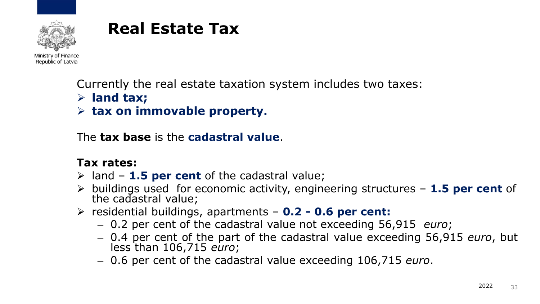

Republic of Latvia

Currently the real estate taxation system includes two taxes:

- ➢ **land tax;**
- ➢ **tax on immovable property.**

The **tax base** is the **cadastral value**.

#### **Tax rates:**

- ➢ land **1.5 per cent** of the cadastral value;
- ➢ buildings used for economic activity, engineering structures **1.5 per cent** of the cadastral value;
- ➢ residential buildings, apartments **0.2 - 0.6 per cent:**
	- 0.2 per cent of the cadastral value not exceeding 56,915 *euro*;
	- 0.4 per cent of the part of the cadastral value exceeding 56,915 *euro*, but less than 106,715 *euro*;
	- 0.6 per cent of the cadastral value exceeding 106,715 *euro*.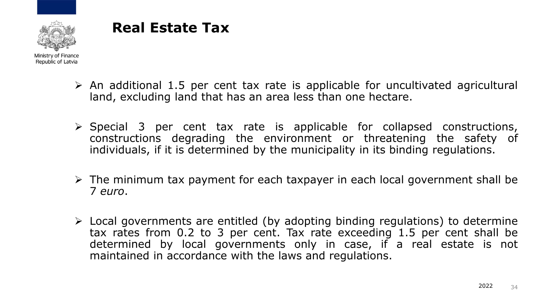

- $\triangleright$  An additional 1.5 per cent tax rate is applicable for uncultivated agricultural land, excluding land that has an area less than one hectare.
- ➢ Special 3 per cent tax rate is applicable for collapsed constructions, constructions degrading the environment or threatening the safety of individuals, if it is determined by the municipality in its binding regulations.
- ➢ The minimum tax payment for each taxpayer in each local government shall be 7 *euro*.
- ➢ Local governments are entitled (by adopting binding regulations) to determine tax rates from 0.2 to 3 per cent. Tax rate exceeding 1.5 per cent shall be determined by local governments only in case, if a real estate is not maintained in accordance with the laws and regulations.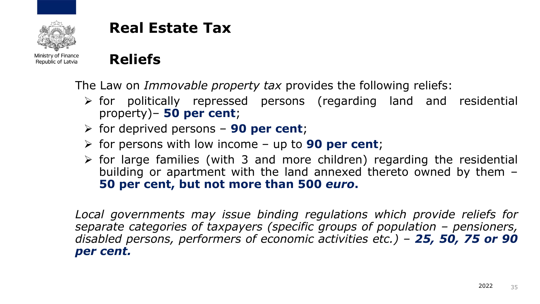

Ministry of Finance Republic of Latvia

# **Reliefs**

The Law on *Immovable property tax* provides the following reliefs:

- ➢ for politically repressed persons (regarding land and residential property)– **50 per cent**;
- ➢ for deprived persons **90 per cent**;
- ➢ for persons with low income up to **90 per cent**;
- $\triangleright$  for large families (with 3 and more children) regarding the residential building or apartment with the land annexed thereto owned by them – **50 per cent, but not more than 500** *euro***.**

*Local governments may issue binding regulations which provide reliefs for separate categories of taxpayers (specific groups of population – pensioners, disabled persons, performers of economic activities etc.) – 25, 50, 75 or 90 per cent.*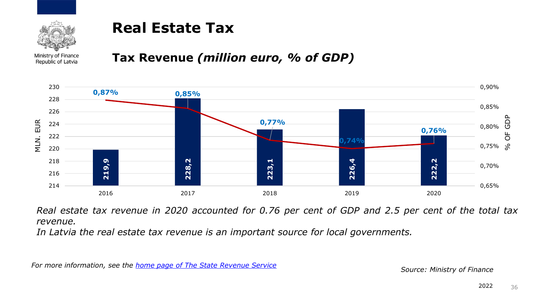

Ministry of Finance Republic of Latvia

#### **Tax Revenue** *(million euro, % of GDP)*



Real estate tax revenue in 2020 accounted for 0.76 per cent of GDP and 2.5 per cent of the total tax *revenue.*

*In Latvia the real estate tax revenue is an important source for local governments.*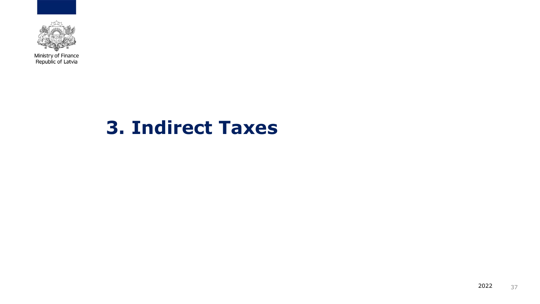

# **3. Indirect Taxes**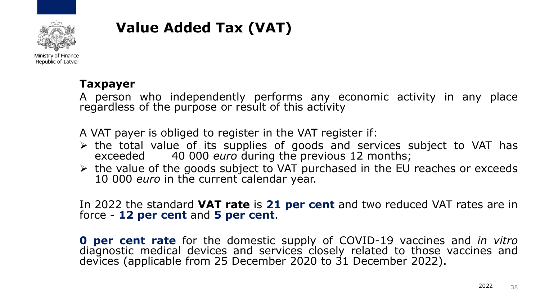

## **Value Added Tax (VAT)**

#### **Taxpayer**

A person who independently performs any economic activity in any place regardless of the purpose or result of this activity

A VAT payer is obliged to register in the VAT register if:

- ➢ the total value of its supplies of goods and services subject to VAT has exceeded 40 000 *euro* during the previous 12 months;
- ➢ the value of the goods subject to VAT purchased in the EU reaches or exceeds 10 000 *euro* in the current calendar year.

#### In 2022 the standard **VAT rate** is **21 per cent** and two reduced VAT rates are in force - **12 per cent** and **5 per cent**.

**0 per cent rate** for the domestic supply of COVID-19 vaccines and *in vitro* diagnostic medical devices and services closely related to those vaccines and devices (applicable from 25 December 2020 to 31 December 2022).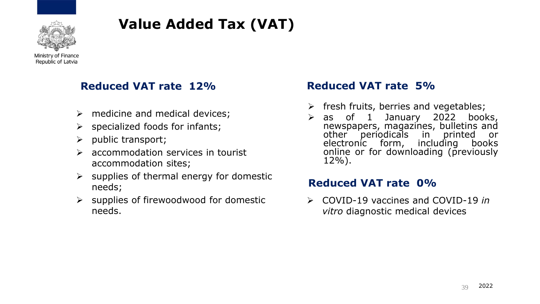

# **Value Added Tax (VAT)**

Ministry of Finance Republic of Latvia

#### **Reduced VAT rate 12% Reduced VAT rate 5%**

- $\triangleright$  medicine and medical devices;
- $\triangleright$  specialized foods for infants;
- ➢ public transport;
- $\triangleright$  accommodation services in tourist accommodation sites;
- $\triangleright$  supplies of thermal energy for domestic needs;
- $\triangleright$  supplies of firewoodwood for domestic needs.

- $\triangleright$  fresh fruits, berries and vegetables;
- ➢ as of 1 January 2022 books, newspapers, magazines, bulletins and other periodicals in printed or electronic form, including books online or for downloading (previously 12%).

#### **Reduced VAT rate 0%**

➢ COVID-19 vaccines and COVID-19 *in vitro* diagnostic medical devices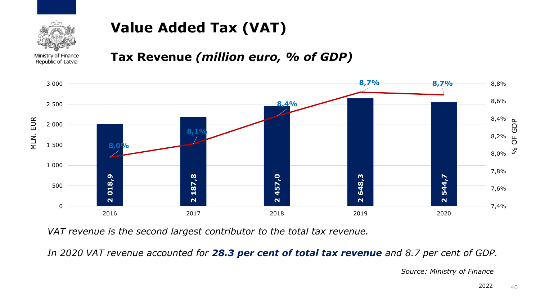

## **Value Added Tax (VAT)**

#### Ministry of Finance Republic of Latvia

#### **Tax Revenue** *(million euro, % of GDP)*



*VAT revenue is the second largest contributor to the total tax revenue.*

In 2020 VAT revenue accounted for 28.3 per cent of total tax revenue and 8.7 per cent of GDP.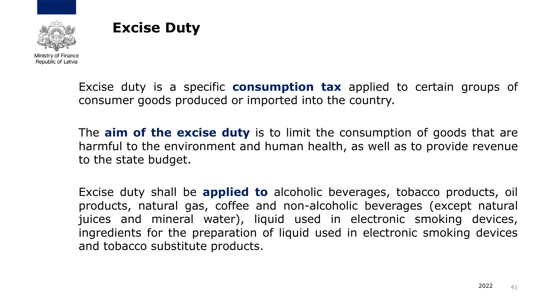



Excise duty is a specific **consumption tax** applied to certain groups of consumer goods produced or imported into the country.

The **aim of the excise duty** is to limit the consumption of goods that are harmful to the environment and human health, as well as to provide revenue to the state budget.

Excise duty shall be **applied to** alcoholic beverages, tobacco products, oil products, natural gas, coffee and non-alcoholic beverages (except natural juices and mineral water), liquid used in electronic smoking devices, ingredients for the preparation of liquid used in electronic smoking devices and tobacco substitute products.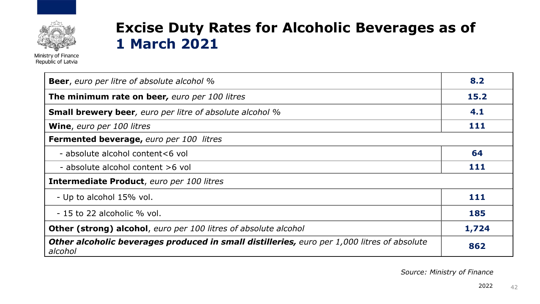

## **Excise Duty Rates for Alcoholic Beverages as of 1 March 2021**

| <b>Beer</b> , euro per litre of absolute alcohol %                                                            | 8.2   |
|---------------------------------------------------------------------------------------------------------------|-------|
| The minimum rate on beer, euro per 100 litres                                                                 | 15.2  |
| <b>Small brewery beer</b> , euro per litre of absolute alcohol %                                              | 4.1   |
| <b>Wine, euro per 100 litres</b>                                                                              | 111   |
| <b>Fermented beverage, euro per 100 litres</b>                                                                |       |
| - absolute alcohol content<6 vol                                                                              | 64    |
| - absolute alcohol content >6 yol                                                                             | 111   |
| Intermediate Product, euro per 100 litres                                                                     |       |
| - Up to alcohol 15% vol.                                                                                      | 111   |
| - 15 to 22 alcoholic % vol.                                                                                   | 185   |
| Other (strong) alcohol, euro per 100 litres of absolute alcohol                                               | 1,724 |
| <b>Other alcoholic beverages produced in small distilleries, euro per 1,000 litres of absolute</b><br>alcohol | 862   |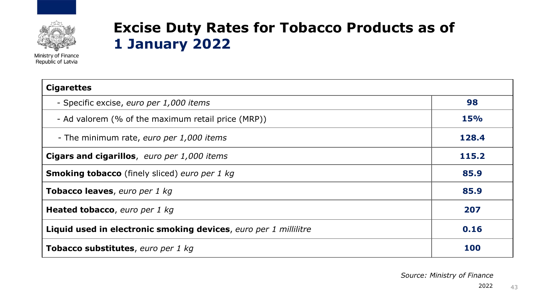

## **Excise Duty Rates for Tobacco Products as of 1 January 2022**

| <b>Cigarettes</b>                                                |            |  |
|------------------------------------------------------------------|------------|--|
| - Specific excise, euro per 1,000 items                          | 98         |  |
| - Ad valorem (% of the maximum retail price (MRP))               | <b>15%</b> |  |
| - The minimum rate, euro per 1,000 items                         | 128.4      |  |
| <b>Cigars and cigarillos, euro per 1,000 items</b>               | 115.2      |  |
| <b>Smoking tobacco</b> (finely sliced) euro per 1 kg             | 85.9       |  |
| Tobacco leaves, euro per 1 kg                                    | 85.9       |  |
| Heated tobacco, euro per 1 kg                                    | 207        |  |
| Liquid used in electronic smoking devices, euro per 1 millilitre | 0.16       |  |
| <b>Tobacco substitutes</b> , euro per 1 kg                       | 100        |  |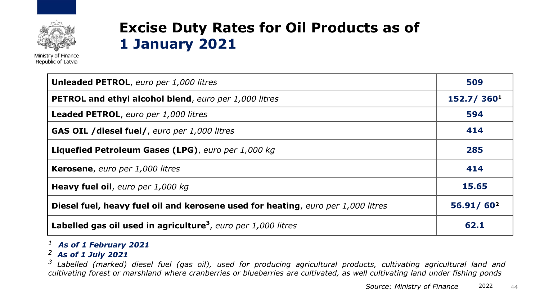

## **Excise Duty Rates for Oil Products as of 1 January 2021**

| <b>Unleaded PETROL, euro per 1,000 litres</b>                                           | 509        |
|-----------------------------------------------------------------------------------------|------------|
| <b>PETROL and ethyl alcohol blend, euro per 1,000 litres</b>                            | 152.7/3601 |
| Leaded PETROL, euro per 1,000 litres                                                    | 594        |
| <b>GAS OIL / diesel fuel/, euro per 1,000 litres</b>                                    | 414        |
| Liquefied Petroleum Gases (LPG), euro per 1,000 kg                                      | 285        |
| Kerosene, euro per 1,000 litres                                                         | 414        |
| Heavy fuel oil, euro per 1,000 kg                                                       | 15.65      |
| <b>Diesel fuel, heavy fuel oil and kerosene used for heating, euro per 1,000 litres</b> | 56.91/602  |
| Labelled gas oil used in agriculture <sup>3</sup> , euro per 1,000 litres               | 62.1       |

#### *<sup>1</sup> As of 1 February 2021*

#### *<sup>2</sup> As of 1 July 2021*

<sup>3</sup> Labelled (marked) diesel fuel (gas oil), used for producing agricultural products, cultivating agricultural land and cultivating forest or marshland where cranberries or blueberries are cultivated, as well cultivating land under fishing ponds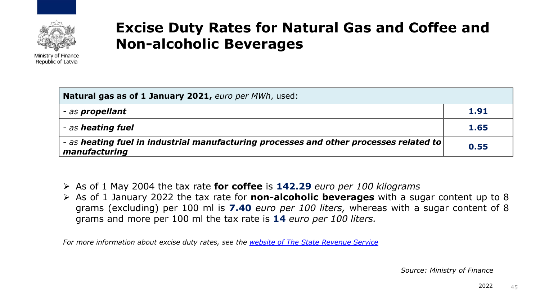

## **Excise Duty Rates for Natural Gas and Coffee and Non-alcoholic Beverages**

| <b>Natural gas as of 1 January 2021, euro per MWh, used:</b>                                          |      |  |
|-------------------------------------------------------------------------------------------------------|------|--|
| - as propellant                                                                                       | 1.91 |  |
| - as heating fuel                                                                                     | 1.65 |  |
| as heating fuel in industrial manufacturing processes and other processes related to<br>manufacturing | 0.55 |  |

- ➢ As of 1 May 2004 the tax rate **for coffee** is **142.29** *euro per 100 kilograms*
- ➢ As of 1 January 2022 the tax rate for **non-alcoholic beverages** with a sugar content up to 8 grams (excluding) per 100 ml is **7.40** *euro per 100 liters,* whereas with a sugar content of 8 grams and more per 100 ml the tax rate is **14** *euro per 100 liters.*

*For more information about excise duty rates, see the [website of The State Revenue Service](https://www.vsaa.gov.lv/en/services/for-employees/contributions/)*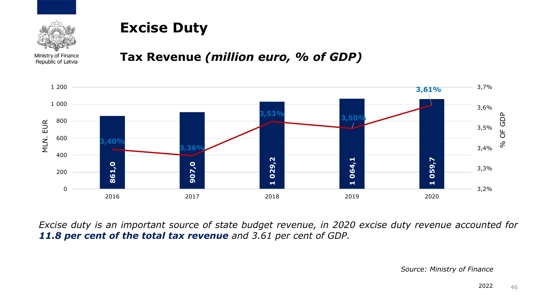

## **Excise Duty**

Ministry of Finance Republic of Latvia

#### **Tax Revenue** *(million euro, % of GDP)*



*Excise duty is an important source of state budget revenue, in 2020 excise duty revenue accounted for 11.8 per cent of the total tax revenue and 3.61 per cent of GDP.*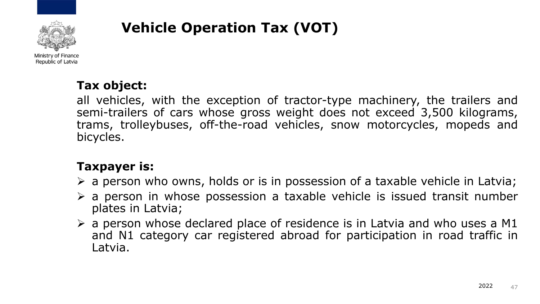

## **Vehicle Operation Tax (VOT)**

#### **Tax object:**

all vehicles, with the exception of tractor-type machinery, the trailers and semi-trailers of cars whose gross weight does not exceed 3,500 kilograms, trams, trolleybuses, off-the-road vehicles, snow motorcycles, mopeds and bicycles.

#### **Taxpayer is:**

- ➢ a person who owns, holds or is in possession of a taxable vehicle in Latvia;
- $\triangleright$  a person in whose possession a taxable vehicle is issued transit number plates in Latvia;
- $\triangleright$  a person whose declared place of residence is in Latvia and who uses a M1 and N1 category car registered abroad for participation in road traffic in Latvia.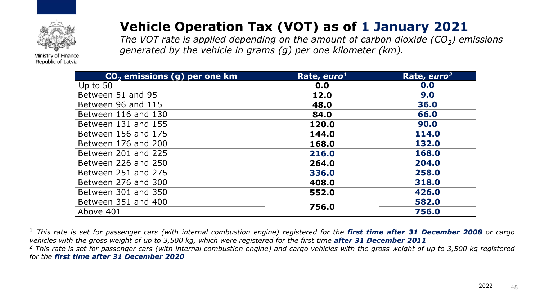

## **Vehicle Operation Tax (VOT) as of 1 January 2021**

*The VOT rate is applied depending on the amount of carbon dioxide (CO<sup>2</sup> ) emissions generated by the vehicle in grams (g) per one kilometer (km).* 

| CO <sub>2</sub> emissions (g) per one km | Rate, euro <sup>1</sup> | Rate, euro <sup>2</sup> |
|------------------------------------------|-------------------------|-------------------------|
| Up to $50$                               | 0.0                     | 0.0                     |
| Between 51 and 95                        | 12.0                    | 9.0                     |
| Between 96 and 115                       | 48.0                    | 36.0                    |
| Between 116 and 130                      | 84.0                    | 66.0                    |
| Between 131 and 155                      | 120.0                   | 90.0                    |
| Between 156 and 175                      | 144.0                   | 114.0                   |
| Between 176 and 200                      | 168.0                   | 132.0                   |
| Between 201 and 225                      | 216.0                   | 168.0                   |
| Between 226 and 250                      | 264.0                   | 204.0                   |
| Between 251 and 275                      | 336.0                   | 258.0                   |
| Between 276 and 300                      | 408.0                   | 318.0                   |
| Between 301 and 350                      | 552.0                   | 426.0                   |
| Between 351 and 400                      | 756.0                   | 582.0                   |
| Above 401                                |                         | 756.0                   |

<sup>1</sup> This rate is set for passenger cars (with internal combustion engine) registered for the first time after 31 December 2008 or cargo vehicles with the gross weight of up to 3,500 kg, which were registered for the first time after 31 December 2011 <sup>2</sup> This rate is set for passenger cars (with internal combustion engine) and cargo vehicles with the gross weight of up to 3,500 kg registered *for the first time after 31 December 2020*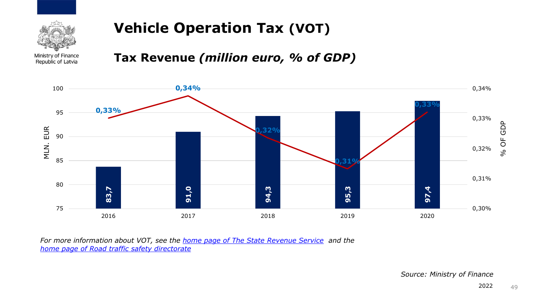

## **Vehicle Operation Tax (VOT)**

Ministry of Finance Republic of Latvia

**Tax Revenue** *(million euro, % of GDP)*



*For more information about VOT, see the [home page of The State Revenue Service](https://www.vid.gov.lv/en/node/57244) and the [home page of Road traffic safety directorate](https://www.vsaa.gov.lv/en/services/for-employees/contributions/)*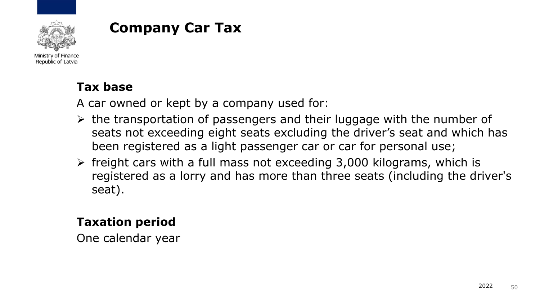

## **Company Car Tax**

Ministry of Finance Republic of Latvia

#### **Tax base**

A car owned or kept by a company used for:

- $\triangleright$  the transportation of passengers and their luggage with the number of seats not exceeding eight seats excluding the driver's seat and which has been registered as a light passenger car or car for personal use;
- $\triangleright$  freight cars with a full mass not exceeding 3,000 kilograms, which is registered as a lorry and has more than three seats (including the driver's seat).

#### **Taxation period**

One calendar year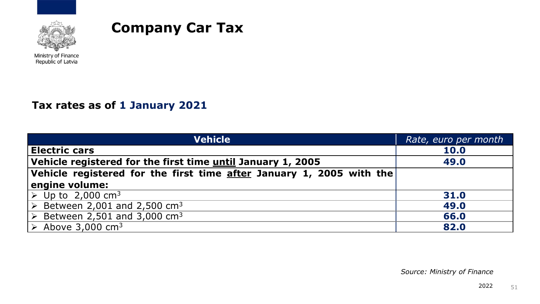

#### **Company Car Tax**

Ministry of Finance Republic of Latvia

#### **Tax rates as of 1 January 2021**

| <b>Vehicle</b>                                                                           | Rate, euro per month |
|------------------------------------------------------------------------------------------|----------------------|
| <b>Electric cars</b>                                                                     | <b>10.0</b>          |
| Vehicle registered for the first time until January 1, 2005                              | 49.0                 |
| Vehicle registered for the first time $\overline{\text{after}}$ January 1, 2005 with the |                      |
| engine volume:                                                                           |                      |
| $\triangleright$ Up to 2,000 cm <sup>3</sup>                                             | 31.0                 |
| $\triangleright$ Between 2,001 and 2,500 cm <sup>3</sup>                                 | 49.0                 |
| $\triangleright$ Between 2,501 and 3,000 cm <sup>3</sup>                                 | 66.0                 |
| $\triangleright$ Above 3,000 cm <sup>3</sup>                                             | 82.0                 |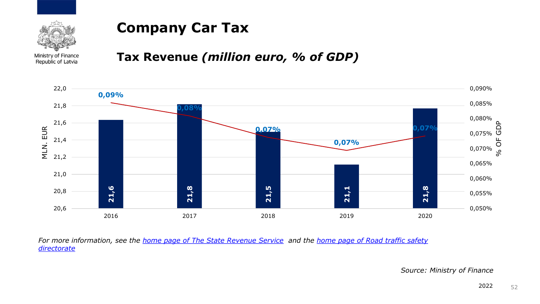

## **Company Car Tax**

Ministry of Finance Republic of Latvia

#### **Tax Revenue** *(million euro, % of GDP)*



*For more information, see the [home page of The State Revenue Service](https://www.vsaa.gov.lv/en/services/for-employees/contributions/) and the home page of Road traffic safety directorate*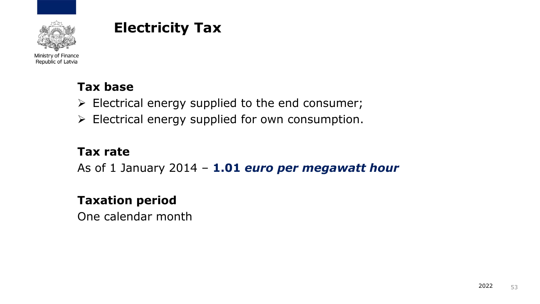

## **Electricity Tax**

Ministry of Finance Republic of Latvia

#### **Tax base**

- $\triangleright$  Electrical energy supplied to the end consumer;
- ➢ Electrical energy supplied for own consumption.

#### **Tax rate**

As of 1 January 2014 – **1.01** *euro per megawatt hour*

#### **Taxation period**

One calendar month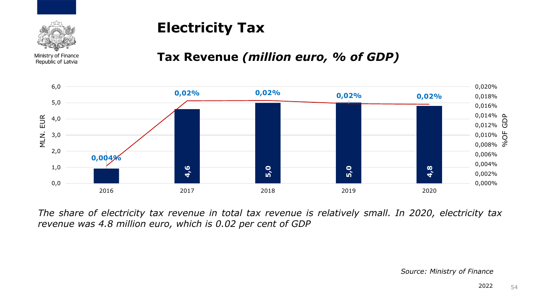

## **Electricity Tax**

#### **Tax Revenue** *(million euro, % of GDP)*



*The share of electricity tax revenue in total tax revenue is relatively small. In 2020, electricity tax revenue was 4.8 million euro, which is 0.02 per cent of GDP*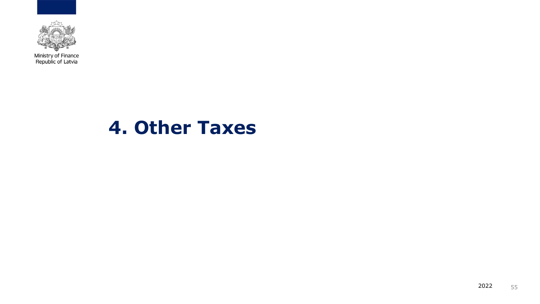

# **4. Other Taxes**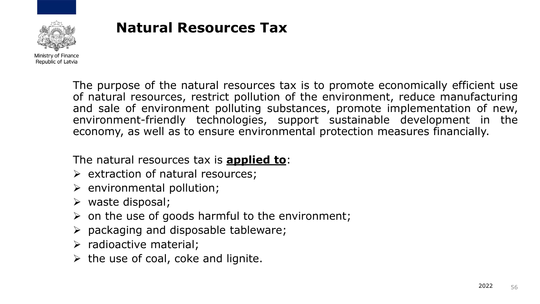

## **Natural Resources Tax**

The purpose of the natural resources tax is to promote economically efficient use of natural resources, restrict pollution of the environment, reduce manufacturing and sale of environment polluting substances, promote implementation of new, environment-friendly technologies, support sustainable development in the economy, as well as to ensure environmental protection measures financially.

The natural resources tax is **applied to**:

- ➢ extraction of natural resources;
- $\triangleright$  environmental pollution;
- ➢ waste disposal;
- $\triangleright$  on the use of goods harmful to the environment;
- $\triangleright$  packaging and disposable tableware;
- ➢ radioactive material;
- $\triangleright$  the use of coal, coke and lignite.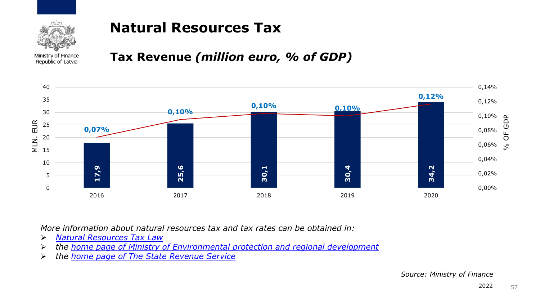

## **Natural Resources Tax**

Ministry of Finance Republic of Latvia

#### **Tax Revenue** *(million euro, % of GDP)*



*More information about natural resources tax and tax rates can be obtained in:*

- ➢ *Natural [Resources](https://likumi.lv/ta/en/en/id/124707-natural-resources-tax-law) Tax Law*
- ➢ *the home page of Ministry of [Environmental](http://www.varam.gov.lv/eng/par_ministriju/) protection and regional development*
-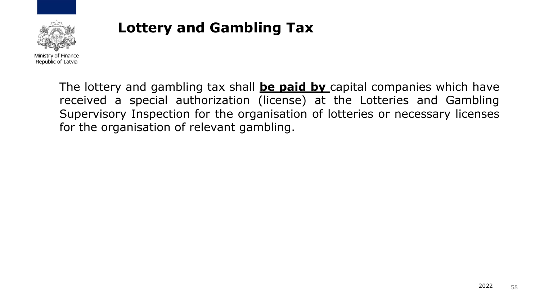

## **Lottery and Gambling Tax**

The lottery and gambling tax shall **be paid by** capital companies which have received a special authorization (license) at the Lotteries and Gambling Supervisory Inspection for the organisation of lotteries or necessary licenses for the organisation of relevant gambling.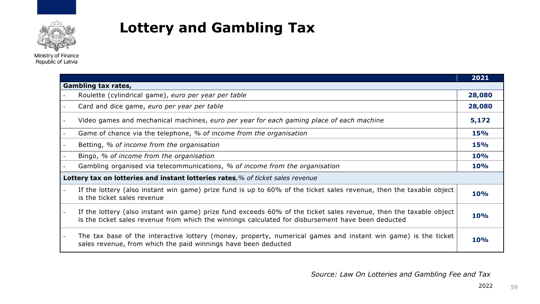

**Lottery and Gambling Tax**

**2021 Gambling tax rates,** - Roulette (cylindrical game), *euro per year per table* **28,080** - Card and dice game, *euro per year per table* **28,080** - Video games and mechanical machines, *euro per year for each gaming place of each machine* **5,172** - Game of chance via the telephone, *% of income from the organisation* **15%** - Betting, *% of income from the organisation* **15%** - Bingo, *% of income from the organisation* **10%** - Gambling organised via telecommunications, *% of income from the organisation* **10% Lottery tax on lotteries and instant lotteries rates***,% of ticket sales revenue* If the lottery (also instant win game) prize fund is up to 60% of the ticket sales revenue, then the taxable object is the ticket sales revenue **10%** If the lottery (also instant win game) prize fund exceeds 60% of the ticket sales revenue, then the taxable object is the ticket sales revenue from which the winnings calculated for disbursement have been deducted **10%** The tax base of the interactive lottery (money, property, numerical games and instant win game) is the ticket sales revenue, from which the paid winnings have been deducted **10%**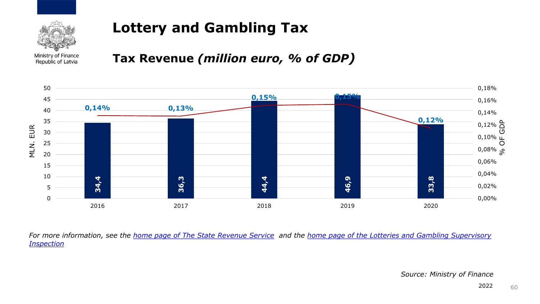

## **Lottery and Gambling Tax**

Ministry of Finance Republic of Latvia

#### **Tax Revenue** *(million euro, % of GDP)*



*For more information, see the [home page of The State Revenue Service](https://www.vid.gov.lv/en/node/57201) and the [home page of the Lotteries and Gambling Supervisory](https://www.vsaa.gov.lv/en/services/for-employees/contributions/)  Inspection*